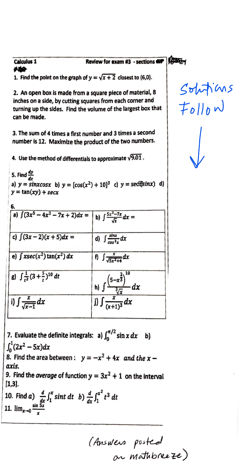Calculus 1 **Review for exam #3** - sections  $\overrightarrow{ap}$   $\overrightarrow{f}$ 

Calcul<br>NGC<br>1. Fin 1. Find the point on the graph of  $y = \sqrt{x + 2}$  closest to (6,0).

2. An open box is made from a square piece of material, 8 inches on a side, by cutting squares from each corner and turning up the sides. Find the volume of the largest box that can be made.

3. The sum of 4 times a first number and 3 times a second number is 12. Maximize the product of the two numbers.

4. Use the method of differentials to approximate  $\sqrt{9.01}$ .

I

5. Find  $\frac{dy}{dx}$ a)  $y = sinxcosx$  b)  $y = [cos(x^2) + 10]^3$  c)  $y = se^{i\pi}$ *(iii)* d) 1  $y = \tan(xy) + \sec x$  $6.$ a)  $\int (3x^5 - 4x^3 - 7x + 2)dx =$  **b**)  $\int \frac{5x^3 - 7x}{\sqrt{x}} dx =$ c)  $\int (3x-2)(x+5)dx =$  d)  $\int \frac{\sin x}{\cos^2 x} dx$ e)  $\int x \sec(x^2) \tan(x^2) dx$  **f**)  $\int \frac{x}{\sqrt{5x^2+4}} dx$ g)  $\int \frac{1}{r^2} (3 + \frac{5}{r})^{10} dt$ h)  $\int \frac{(5-x^{\frac{2}{3}})^{10}}{\frac{3}{(x+1)^3}} dx$ <br> *j*)  $\int \frac{x}{(x+1)^3} dx$ i)  $\int \frac{x}{\sqrt{x-1}} dx$ 

7. Evaluate the definite integrals: a)  $\int_0^{\pi/2} \sin x \, dx$  b)  $\int_0^1 (2x^2 - 5x) dx$ 

8. Find the area between :  $y = -x^2 + 4x$  *and the x axis.* 

9. Find the average of function  $y = 3x^2 + 1$  on the interval **[1,3).** 

10. Find *a*)  $\frac{d}{dx} \int_1^x \sin t \, dt$  *b*)  $\frac{d}{dx} \int_1^{x^2} t^3 \, dt$ 1.  $\lim_{x\to 0} \frac{\sin \frac{\pi x}{5x}}{x}$ 

(Answers posted ~ *w,iditb~~)* 

 $S$ ohitims<br> $F_{0}||_{0}$  w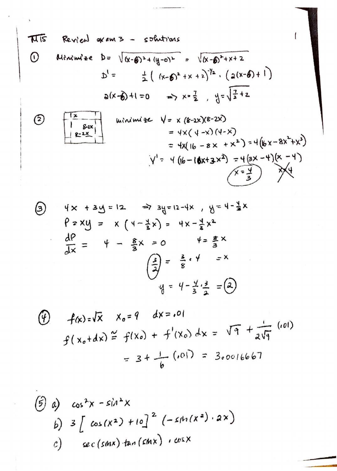**74.15** Revical axams - solutions  
\n(1) Hilmmise 
$$
b = \sqrt{(x-6)^2 + (y-0)^2} = \sqrt{(x-6)^2 + x + 2}
$$
  
\n $b' = \pm (x-6)^2 + x + 2)^{7/2} \cdot (2(x-6) + 1)$   
\n $b(x-6) + 1 = 0 \implies x = \frac{7}{2}, y = \sqrt{\frac{7}{2} + 2}$   
\n $= 4 \times (4-x)(4-x)$   
\n $= 4 \times (4-x)(4-x)$   
\n $= 4 \times (6-2x)(8-2x)$   
\n $= 4 \times (4-x)(4-x)$   
\n $= 4 \times (6-8x + x^2) = 4(6x-8x^2+x^3)$   
\n $\sqrt{1} = 4((6-16x+3x^2) = 4(3x-4)(x-4)$ 

 $\mathcal{L}^{\text{max}}_{\text{max}}$  , where  $\mathcal{L}^{\text{max}}_{\text{max}}$ 

 $\mathcal{L}^{\text{max}}$ 

$$
4x + 3y = 12
$$
  $\Rightarrow 3y = 12 - 4x$ ,  $y = 4 - \frac{4}{3}x$   
\n $9 \times 4y = x (4 - \frac{3}{2}x) = 4x - \frac{4}{3}x^2$   
\n $\frac{dP}{dx} = 4 - \frac{8}{3}x = 0$   $\frac{4}{3} = \frac{8}{3}x$   
\n $\left(\frac{3}{2}\right) = \frac{3}{8}x + \frac{4}{3} = 2$   
\n $\frac{4}{3} = \frac{4}{3}x^2 = 2$ 

$$
\begin{array}{lll}\n\textcircled{1} & f(x) = \sqrt{x} & x_0 = 9 & dx = .01 \\
& f(x_0 + dx) \stackrel{\sim}{=} f(x_0) + f'(x_0) \, dx = \sqrt{9} + \frac{1}{2\sqrt{9}} \\
& = 3 + \frac{1}{6} \quad (01) = 3,0016667\n\end{array}
$$

$$
\begin{array}{lll}\n\textcircled{3} & \text{cos}^2 x - \text{sin}^2 x \\
\text{b)} & 3 \left[ \text{cos}(x^2) + 10 \right]^2 \left( -\text{sin}(x^2) \cdot 2x \right) \\
\text{c)} & \text{sec}(\text{sin}x) \tan(\text{sin}x) \cdot \text{cos}x\n\end{array}
$$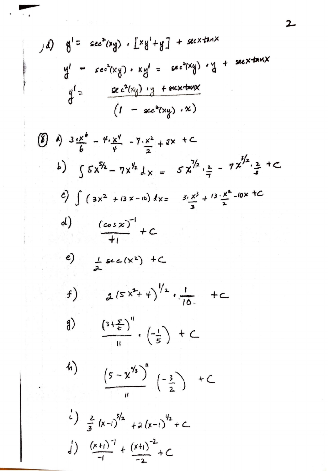$$
\int d) \quad g' = \sec^{2}(xy) \cdot [xy' + y] + \sec^{2}(\tan x)
$$
\n
$$
g' = \sec^{2}(xg) \cdot xg' = \sec^{2}(xg) \cdot g + \sec^{2}(\tan x)
$$
\n
$$
g' = \frac{\sec^{2}(xg) \cdot g + \sec^{2}(\tan x)}{(1 - \sec^{2}(xg) \cdot x)}
$$

 $\label{eq:stability} \mathcal{F} = \mathcal{F}_{\mathcal{F}} \left( \frac{\partial}{\partial t} \right) + \mathcal{F}_{\mathcal{F}} \left( \mathcal{F}_{\mathcal{F}} \right) = \mathcal{F}_{\mathcal{F}} \, ,$ 

 $\label{eq:1} \frac{1}{2} \left( \frac{1}{2} \right) \left( \frac{1}{2} \right) \left( \frac{1}{2} \right) \left( \frac{1}{2} \right) \left( \frac{1}{2} \right) \left( \frac{1}{2} \right) \left( \frac{1}{2} \right) \left( \frac{1}{2} \right) \left( \frac{1}{2} \right) \left( \frac{1}{2} \right) \left( \frac{1}{2} \right) \left( \frac{1}{2} \right) \left( \frac{1}{2} \right) \left( \frac{1}{2} \right) \left( \frac{1}{2} \right) \left( \frac{1}{2} \$ 

 $\label{eq:2.1} \begin{aligned} \mathcal{L}_{\mathcal{A}}(\mathcal{A})&=\mathcal{L}_{\mathcal{A}}(\mathcal{A})\otimes\mathcal{L}_{\mathcal{A}}(\mathcal{A})\otimes\mathcal{L}_{\mathcal{A}}(\mathcal{A})\otimes\mathcal{L}_{\mathcal{A}}(\mathcal{A})\otimes\mathcal{L}_{\mathcal{A}}(\mathcal{A})\otimes\mathcal{L}_{\mathcal{A}}(\mathcal{A})\otimes\mathcal{L}_{\mathcal{A}}(\mathcal{A})\otimes\mathcal{L}_{\mathcal{A}}(\mathcal{A})\otimes\mathcal{L}_{\mathcal{A}}(\mathcal{A})\$ 

$$
\begin{array}{lll}\n\text{(8)} & 0) & 3 \frac{1}{6} - 4 \frac{1}{6} - 7 \frac{1}{6} - 7 \frac{1}{6} + 2 \times + 2 \times + 12 \\
\text{b)} & \int 5 x^{5/2} - 7 x^{1/2} \, dx = 5 x^{7/2} \cdot \frac{x}{7} - 7 x^{7/2} \cdot \frac{x}{3} + 12 \\
\text{c)} & \int (3x^2 + 13x - 16) \, dx = 3 \cdot \frac{x^3}{3} + 13 \cdot \frac{x^4}{2} - 10x + 12 \\
\text{d)} & \frac{(\cos x)^{-1}}{1!} + C \\
\text{e)} & \frac{1}{x!} \sec(x^2) + C \\
\text{f)} & \frac{1}{x!} (5 x^2 + 4)^{1/2} \cdot \frac{1}{10!} + C \\
\text{g)} & \frac{(3 + \frac{5}{6})}{1!} \cdot \left(-\frac{1}{5}\right) + C \\
\text{h)} & \frac{(5 - x^{7/3})}{1!} \cdot \left(-\frac{1}{5}\right) + C\n\end{array}
$$

$$
\frac{(5-x^{\frac{1}{3}})^{n}}{n} \left(-\frac{3}{2}\right) + C
$$

$$
\int_{0}^{2} \frac{z}{3} (x-1)^{5/2} + a (x-1)^{1/2} + C
$$
  

$$
\int_{0}^{1} \frac{(x+1)^{-1}}{-1} + \frac{(x+1)^{-2}}{-2} + C
$$